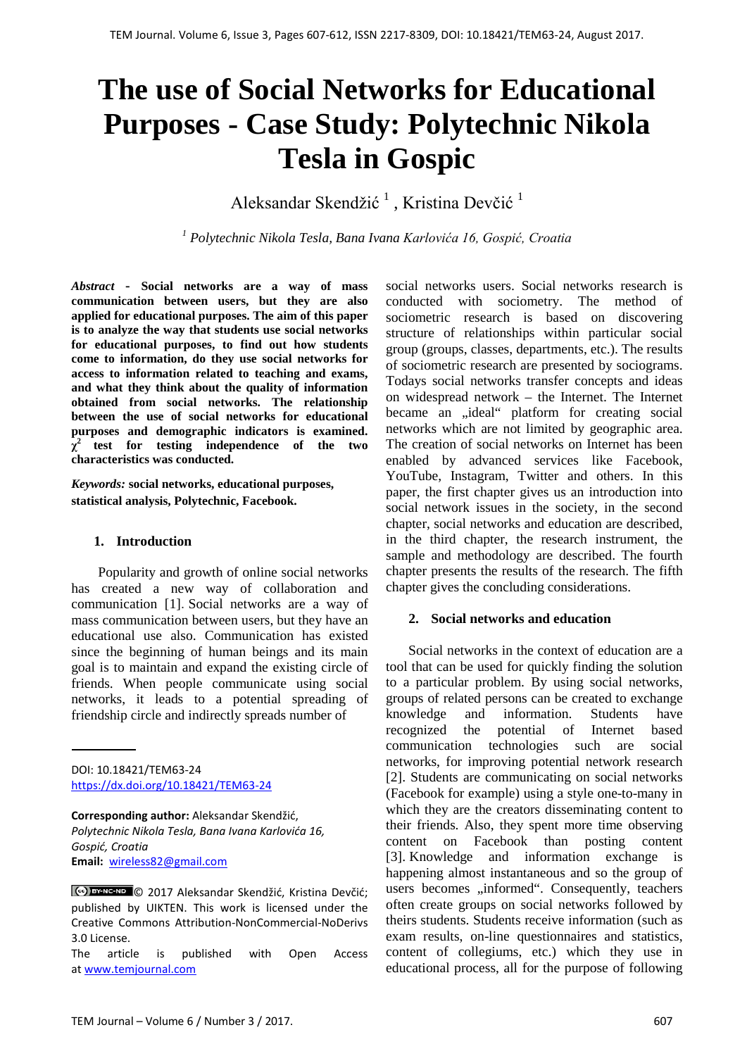# **The use of Social Networks for Educational Purposes - Case Study: Polytechnic Nikola Tesla in Gospic**

Aleksandar Skendžić<sup>1</sup>, Kristina Devčić<sup>1</sup>

*<sup>1</sup> Polytechnic Nikola Tesla, Bana Ivana Karlovića 16, Gospić, Croatia*

*Abstract* **- Social networks are a way of mass communication between users, but they are also applied for educational purposes. The aim of this paper is to analyze the way that students use social networks for educational purposes, to find out how students come to information, do they use social networks for access to information related to teaching and exams, and what they think about the quality of information obtained from social networks. The relationship between the use of social networks for educational purposes and demographic indicators is examined.**   $\chi^2$  test for testing independence of the two **characteristics was conducted.**

*Keywords:* **social networks, educational purposes, statistical analysis, Polytechnic, Facebook.**

# **1. Introduction**

Popularity and growth of online social networks has created a new way of collaboration and communication [1]. Social networks are a way of mass communication between users, but they have an educational use also. Communication has existed since the beginning of human beings and its main goal is to maintain and expand the existing circle of friends. When people communicate using social networks, it leads to a potential spreading of friendship circle and indirectly spreads number of

DOI: 10.18421/TEM63-24 <https://dx.doi.org/10.18421/TEM63-24>

**Corresponding author:** Aleksandar Skendžić, *Polytechnic Nikola Tesla, Bana Ivana Karlovića 16, Gospić, Croatia* **Email:** wireless82@gmail.com

© 2017 Aleksandar Skendžić, Kristina Devčić; published by UIKTEN. This work is licensed under the Creative Commons Attribution-NonCommercial-NoDerivs 3.0 License.

The article is published with Open Access a[t www.temjournal.com](http://www.temjournal.com/)

social networks users. Social networks research is conducted with sociometry. The method of sociometric research is based on discovering structure of relationships within particular social group (groups, classes, departments, etc.). The results of sociometric research are presented by sociograms. Todays social networks transfer concepts and ideas on widespread network – the Internet. The Internet became an "ideal" platform for creating social networks which are not limited by geographic area. The creation of social networks on Internet has been enabled by advanced services like Facebook, YouTube, Instagram, Twitter and others. In this paper, the first chapter gives us an introduction into social network issues in the society, in the second chapter, social networks and education are described, in the third chapter, the research instrument, the sample and methodology are described. The fourth chapter presents the results of the research. The fifth chapter gives the concluding considerations.

# **2. Social networks and education**

Social networks in the context of education are a tool that can be used for quickly finding the solution to a particular problem. By using social networks, groups of related persons can be created to exchange knowledge and information. Students have recognized the potential of Internet based communication technologies such are social networks, for improving potential network research [2]. Students are communicating on social networks (Facebook for example) using a style one-to-many in which they are the creators disseminating content to their friends. Also, they spent more time observing content on Facebook than posting content [3]. Knowledge and information exchange is happening almost instantaneous and so the group of users becomes "informed". Consequently, teachers often create groups on social networks followed by theirs students. Students receive information (such as exam results, on-line questionnaires and statistics, content of collegiums, etc.) which they use in educational process, all for the purpose of following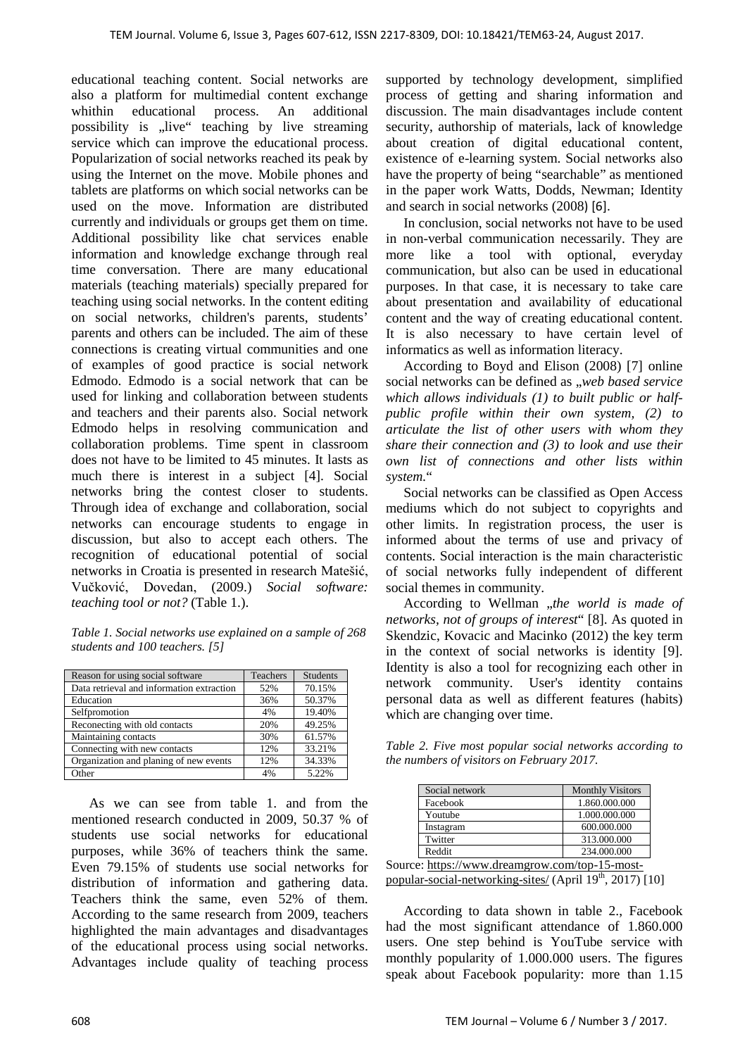educational teaching content. Social networks are also a platform for multimedial content exchange whithin educational process. An additional possibility is "live" teaching by live streaming service which can improve the educational process. Popularization of social networks reached its peak by using the Internet on the move. Mobile phones and tablets are platforms on which social networks can be used on the move. Information are distributed currently and individuals or groups get them on time. Additional possibility like chat services enable information and knowledge exchange through real time conversation. There are many educational materials (teaching materials) specially prepared for teaching using social networks. In the content editing on social networks, children's parents, students' parents and others can be included. The aim of these connections is creating virtual communities and one of examples of good practice is social network Edmodo. Edmodo is a social network that can be used for linking and collaboration between students and teachers and their parents also. Social network Edmodo helps in resolving communication and collaboration problems. Time spent in classroom does not have to be limited to 45 minutes. It lasts as much there is interest in a subject [4]. Social networks bring the contest closer to students. Through idea of exchange and collaboration, social networks can encourage students to engage in discussion, but also to accept each others. The recognition of educational potential of social networks in Croatia is presented in research Matešić, Vučković, Dovedan, (2009.) *Social software: teaching tool or not?* (Table 1.).

*Table 1. Social networks use explained on a sample of 268 students and 100 teachers. [5]*

| Reason for using social software          | Teachers | <b>Students</b> |
|-------------------------------------------|----------|-----------------|
| Data retrieval and information extraction | 52%      | 70.15%          |
| Education                                 | 36%      | 50.37%          |
| Selfpromotion                             | 4%       | 19.40%          |
| Reconecting with old contacts             | 20%      | 49.25%          |
| Maintaining contacts                      | 30%      | 61.57%          |
| Connecting with new contacts              | 12%      | 33.21%          |
| Organization and planing of new events    | 12%      | 34.33%          |
| Other                                     | 4%       | 5.22%           |

As we can see from table 1. and from the mentioned research conducted in 2009, 50.37 % of students use social networks for educational purposes, while 36% of teachers think the same. Even 79.15% of students use social networks for distribution of information and gathering data. Teachers think the same, even 52% of them. According to the same research from 2009, teachers highlighted the main advantages and disadvantages of the educational process using social networks. Advantages include quality of teaching process

supported by technology development, simplified process of getting and sharing information and discussion. The main disadvantages include content security, authorship of materials, lack of knowledge about creation of digital educational content, existence of e-learning system. Social networks also have the property of being "searchable" as mentioned in the paper work Watts, Dodds, Newman; Identity and search in social networks (2008) [6].

In conclusion, social networks not have to be used in non-verbal communication necessarily. They are more like a tool with optional, everyday communication, but also can be used in educational purposes. In that case, it is necessary to take care about presentation and availability of educational content and the way of creating educational content. It is also necessary to have certain level of informatics as well as information literacy.

According to Boyd and Elison (2008) [7] online social networks can be defined as "*web based service which allows individuals (1) to built public or halfpublic profile within their own system, (2) to articulate the list of other users with whom they share their connection and (3) to look and use their own list of connections and other lists within system.*"

Social networks can be classified as Open Access mediums which do not subject to copyrights and other limits. In registration process, the user is informed about the terms of use and privacy of contents. Social interaction is the main characteristic of social networks fully independent of different social themes in community.

According to Wellman "the world is made of *networks, not of groups of interest*" [8]. As quoted in Skendzic, Kovacic and Macinko (2012) the key term in the context of social networks is identity [9]. Identity is also a tool for recognizing each other in network community. User's identity contains personal data as well as different features (habits) which are changing over time.

*Table 2. Five most popular social networks according to the numbers of visitors on February 2017.* 

| Social network | <b>Monthly Visitors</b> |
|----------------|-------------------------|
| Facebook       | 1.860.000.000           |
| Youtube        | 1.000.000.000           |
| Instagram      | 600.000.000             |
| Twitter        | 313,000,000             |
| Reddit         | 234,000,000             |

Source[: https://www.dreamgrow.com/top-15-most](https://www.dreamgrow.com/top-15-most-popular-social-networking-sites/)[popular-social-networking-sites/](https://www.dreamgrow.com/top-15-most-popular-social-networking-sites/) (April 19<sup>th</sup>, 2017) [10]

According to data shown in table 2., Facebook had the most significant attendance of 1.860.000 users. One step behind is YouTube service with monthly popularity of 1.000.000 users. The figures speak about Facebook popularity: more than 1.15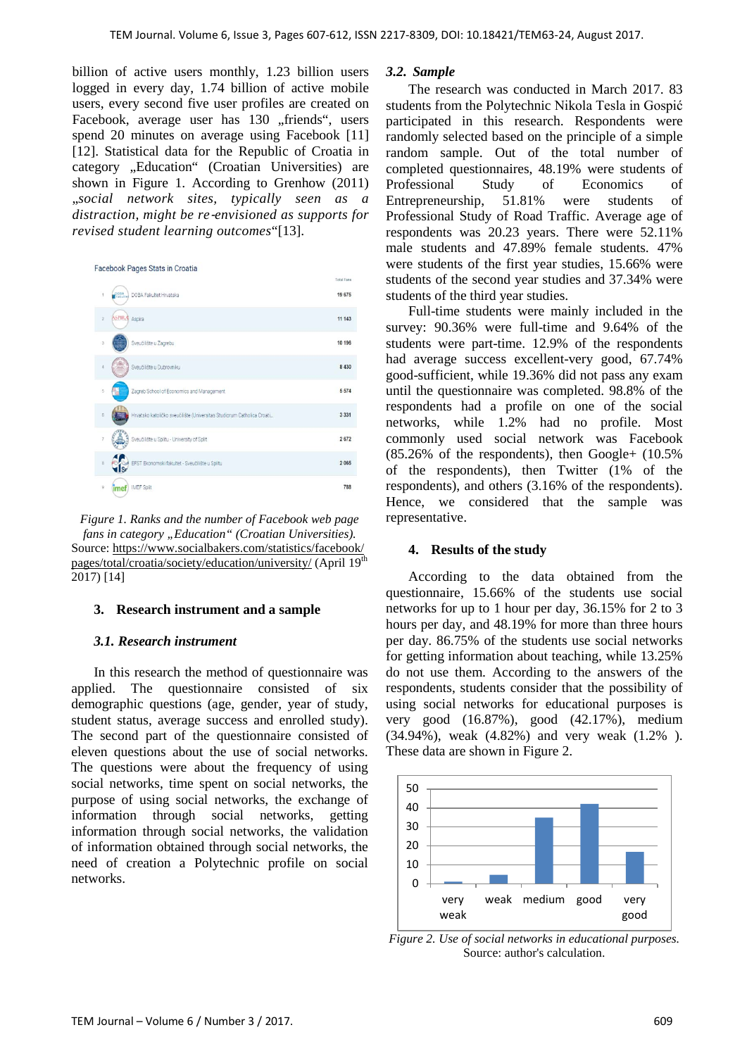billion of active users monthly, 1.23 billion users logged in every day, 1.74 billion of active mobile users, every second five user profiles are created on Facebook, average user has 130 "friends", users spend 20 minutes on average using Facebook [11] [12]. Statistical data for the Republic of Croatia in category "Education" (Croatian Universities) are shown in Figure 1. According to Grenhow (2011) "*social network sites, typically seen as a distraction, might be re*‐*envisioned as supports for revised student learning outcomes*"[13].



*Figure 1. Ranks and the number of Facebook web page*  fans in category "Education" (Croatian Universities). Source: [https://www.socialbakers.com/statistics/facebook/](https://www.socialbakers.com/statistics/facebook/pages/total/croatia/society/education/university/) [pages/total/croatia/society/education/university/](https://www.socialbakers.com/statistics/facebook/pages/total/croatia/society/education/university/) (April 19<sup>th</sup> 2017) [14]

#### **3. Research instrument and a sample**

#### *3.1. Research instrument*

In this research the method of questionnaire was applied. The questionnaire consisted of six demographic questions (age, gender, year of study, student status, average success and enrolled study). The second part of the questionnaire consisted of eleven questions about the use of social networks. The questions were about the frequency of using social networks, time spent on social networks, the purpose of using social networks, the exchange of information through social networks, getting information through social networks, the validation of information obtained through social networks, the need of creation a Polytechnic profile on social networks.

#### *3.2. Sample*

The research was conducted in March 2017. 83 students from the Polytechnic Nikola Tesla in Gospić participated in this research. Respondents were randomly selected based on the principle of a simple random sample. Out of the total number of completed questionnaires, 48.19% were students of Professional Study of Economics of Entrepreneurship, 51.81% were students of Professional Study of Road Traffic. Average age of respondents was 20.23 years. There were 52.11% male students and 47.89% female students. 47% were students of the first year studies, 15.66% were students of the second year studies and 37.34% were students of the third year studies.

Full-time students were mainly included in the survey: 90.36% were full-time and 9.64% of the students were part-time. 12.9% of the respondents had average success excellent-very good, 67.74% good-sufficient, while 19.36% did not pass any exam until the questionnaire was completed. 98.8% of the respondents had a profile on one of the social networks, while 1.2% had no profile. Most commonly used social network was Facebook (85.26% of the respondents), then Google+ (10.5% of the respondents), then Twitter (1% of the respondents), and others (3.16% of the respondents). Hence, we considered that the sample was representative.

#### **4. Results of the study**

According to the data obtained from the questionnaire, 15.66% of the students use social networks for up to 1 hour per day, 36.15% for 2 to 3 hours per day, and 48.19% for more than three hours per day. 86.75% of the students use social networks for getting information about teaching, while 13.25% do not use them. According to the answers of the respondents, students consider that the possibility of using social networks for educational purposes is very good (16.87%), good (42.17%), medium (34.94%), weak (4.82%) and very weak (1.2% ). These data are shown in Figure 2.



*Figure 2. Use of social networks in educational purposes.* Source: author's calculation.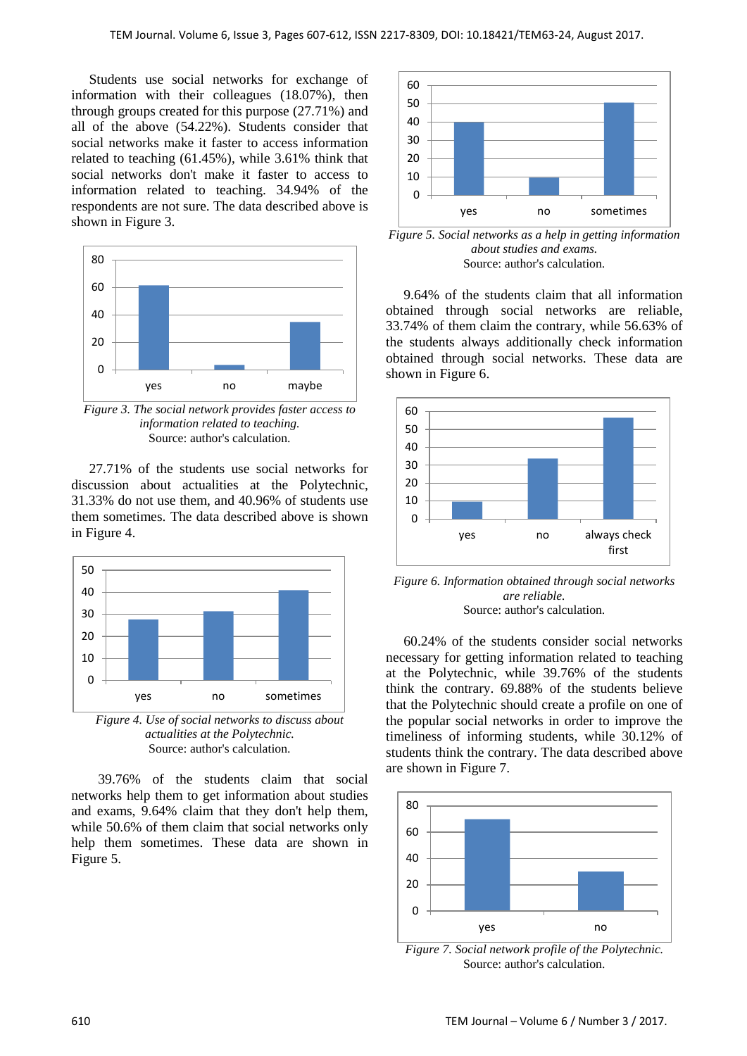Students use social networks for exchange of information with their colleagues (18.07%), then through groups created for this purpose (27.71%) and all of the above (54.22%). Students consider that social networks make it faster to access information related to teaching (61.45%), while 3.61% think that social networks don't make it faster to access to information related to teaching. 34.94% of the respondents are not sure. The data described above is shown in Figure 3.



*Figure 3. The social network provides faster access to information related to teaching.* Source: author's calculation.

27.71% of the students use social networks for discussion about actualities at the Polytechnic, 31.33% do not use them, and 40.96% of students use them sometimes. The data described above is shown in Figure 4.



*Figure 4. Use of social networks to discuss about actualities at the Polytechnic.* Source: author's calculation.

39.76% of the students claim that social networks help them to get information about studies and exams, 9.64% claim that they don't help them, while 50.6% of them claim that social networks only help them sometimes. These data are shown in Figure 5.



*Figure 5. Social networks as a help in getting information about studies and exams.* Source: author's calculation.

9.64% of the students claim that all information obtained through social networks are reliable, 33.74% of them claim the contrary, while 56.63% of the students always additionally check information obtained through social networks. These data are shown in Figure 6.



*Figure 6. Information obtained through social networks are reliable.* Source: author's calculation.

60.24% of the students consider social networks necessary for getting information related to teaching at the Polytechnic, while 39.76% of the students think the contrary. 69.88% of the students believe that the Polytechnic should create a profile on one of the popular social networks in order to improve the timeliness of informing students, while 30.12% of students think the contrary. The data described above are shown in Figure 7.



*Figure 7. Social network profile of the Polytechnic.* Source: author's calculation.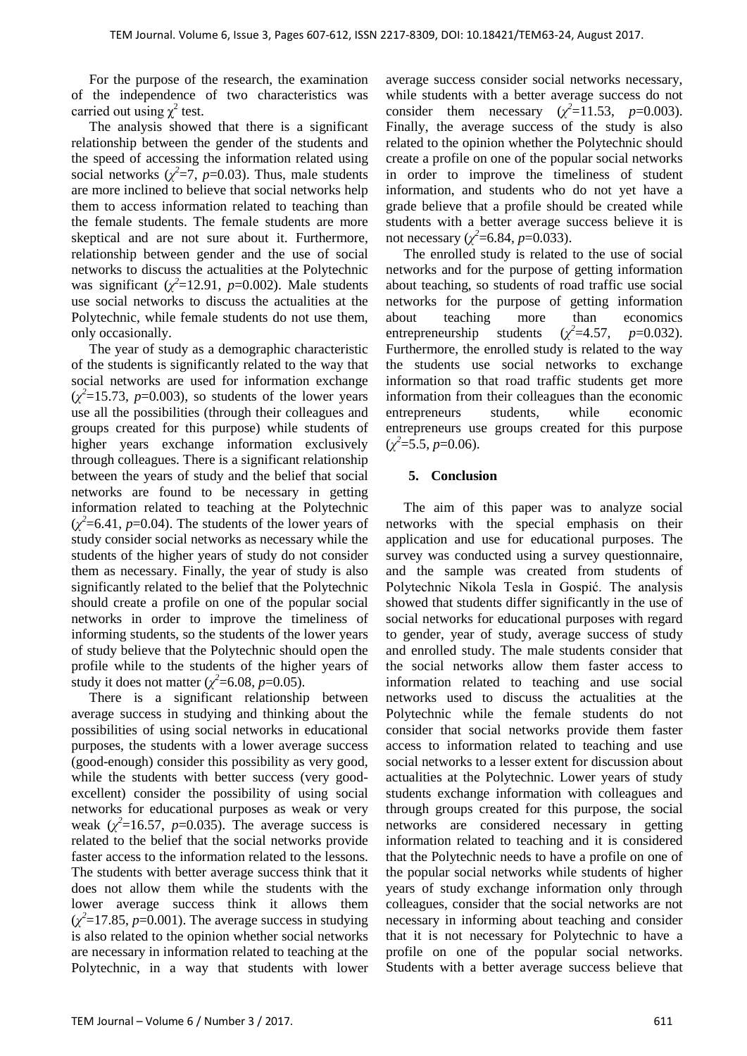For the purpose of the research, the examination of the independence of two characteristics was carried out using  $\chi^2$  test.

The analysis showed that there is a significant relationship between the gender of the students and the speed of accessing the information related using social networks  $(\chi^2=7, p=0.03)$ . Thus, male students are more inclined to believe that social networks help them to access information related to teaching than the female students. The female students are more skeptical and are not sure about it. Furthermore, relationship between gender and the use of social networks to discuss the actualities at the Polytechnic was significant  $(\chi^2=12.91, p=0.002)$ . Male students use social networks to discuss the actualities at the Polytechnic, while female students do not use them, only occasionally.

The year of study as a demographic characteristic of the students is significantly related to the way that social networks are used for information exchange  $(\chi^2 = 15.73, p = 0.003)$ , so students of the lower years use all the possibilities (through their colleagues and groups created for this purpose) while students of higher years exchange information exclusively through colleagues. There is a significant relationship between the years of study and the belief that social networks are found to be necessary in getting information related to teaching at the Polytechnic  $(\chi^2 = 6.41, p = 0.04)$ . The students of the lower years of study consider social networks as necessary while the students of the higher years of study do not consider them as necessary. Finally, the year of study is also significantly related to the belief that the Polytechnic should create a profile on one of the popular social networks in order to improve the timeliness of informing students, so the students of the lower years of study believe that the Polytechnic should open the profile while to the students of the higher years of study it does not matter  $(\chi^2=6.08, p=0.05)$ .

There is a significant relationship between average success in studying and thinking about the possibilities of using social networks in educational purposes, the students with a lower average success (good-enough) consider this possibility as very good, while the students with better success (very goodexcellent) consider the possibility of using social networks for educational purposes as weak or very weak  $(\chi^2=16.57, p=0.035)$ . The average success is related to the belief that the social networks provide faster access to the information related to the lessons. The students with better average success think that it does not allow them while the students with the lower average success think it allows them  $(\chi^2 = 17.85, p = 0.001)$ . The average success in studying is also related to the opinion whether social networks are necessary in information related to teaching at the Polytechnic, in a way that students with lower

average success consider social networks necessary, while students with a better average success do not consider them necessary  $(\chi^2=11.53, p=0.003)$ . Finally, the average success of the study is also related to the opinion whether the Polytechnic should create a profile on one of the popular social networks in order to improve the timeliness of student information, and students who do not yet have a grade believe that a profile should be created while students with a better average success believe it is not necessary ( $\chi^2$ =6.84, *p*=0.033).

The enrolled study is related to the use of social networks and for the purpose of getting information about teaching, so students of road traffic use social networks for the purpose of getting information about teaching more than economics entrepreneurship students  $(\chi^2 = 4.57,$ =4.57, *p*=0.032). Furthermore, the enrolled study is related to the way the students use social networks to exchange information so that road traffic students get more information from their colleagues than the economic entrepreneurs students, while economic entrepreneurs use groups created for this purpose  $(\chi^2 = 5.5, p = 0.06)$ .

## **5. Conclusion**

The aim of this paper was to analyze social networks with the special emphasis on their application and use for educational purposes. The survey was conducted using a survey questionnaire, and the sample was created from students of Polytechnic Nikola Tesla in Gospić. The analysis showed that students differ significantly in the use of social networks for educational purposes with regard to gender, year of study, average success of study and enrolled study. The male students consider that the social networks allow them faster access to information related to teaching and use social networks used to discuss the actualities at the Polytechnic while the female students do not consider that social networks provide them faster access to information related to teaching and use social networks to a lesser extent for discussion about actualities at the Polytechnic. Lower years of study students exchange information with colleagues and through groups created for this purpose, the social networks are considered necessary in getting information related to teaching and it is considered that the Polytechnic needs to have a profile on one of the popular social networks while students of higher years of study exchange information only through colleagues, consider that the social networks are not necessary in informing about teaching and consider that it is not necessary for Polytechnic to have a profile on one of the popular social networks. Students with a better average success believe that